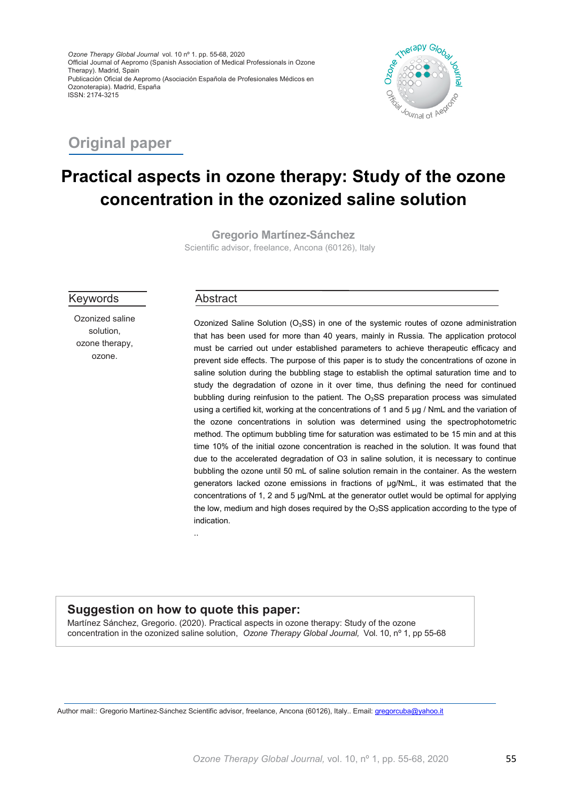*Ozone Therapy Global Journal* vol. 10 nº 1. pp. 55-68, 2020 Official Journal of Aepromo (Spanish Association of Medical Professionals in Ozone Therapy). Madrid, Spain Publicación Oficial de Aepromo (Asociación Española de Profesionales Médicos en Ozonoterapia). Madrid, España ISSN: 2174-3215



## **Original paper**

# **Practical aspects in ozone therapy: Study of the ozone concentration in the ozonized saline solution**

**Gregorio Martínez-Sánchez** Scientific advisor, freelance, Ancona (60126), Italy

Keywords

Ozonized saline solution, ozone therapy, ozone.

#### Abstract

Ozonized Saline Solution  $(O<sub>3</sub>SS)$  in one of the systemic routes of ozone administration that has been used for more than 40 years, mainly in Russia. The application protocol must be carried out under established parameters to achieve therapeutic efficacy and prevent side effects. The purpose of this paper is to study the concentrations of ozone in saline solution during the bubbling stage to establish the optimal saturation time and to study the degradation of ozone in it over time, thus defining the need for continued bubbling during reinfusion to the patient. The  $O<sub>3</sub>SS$  preparation process was simulated using a certified kit, working at the concentrations of 1 and 5 µg / NmL and the variation of the ozone concentrations in solution was determined using the spectrophotometric method. The optimum bubbling time for saturation was estimated to be 15 min and at this time 10% of the initial ozone concentration is reached in the solution. It was found that due to the accelerated degradation of O3 in saline solution, it is necessary to continue bubbling the ozone until 50 mL of saline solution remain in the container. As the western generators lacked ozone emissions in fractions of µg/NmL, it was estimated that the concentrations of 1, 2 and 5 µg/NmL at the generator outlet would be optimal for applying the low, medium and high doses required by the  $O<sub>3</sub>SS$  application according to the type of indication.

..

### **Suggestion on how to quote this paper:**

Martínez Sánchez, Gregorio. (2020). Practical aspects in ozone therapy: Study of the ozone concentration in the ozonized saline solution, *Ozone Therapy Global Journal,* Vol. 10, nº 1, pp 55-68

Author mail:: Gregorio Martínez-Sánchez Scientific advisor, freelance, Ancona (60126), Italy.. Email: [gregorcuba@yahoo.it](mailto:gregorcuba@yahoo.it)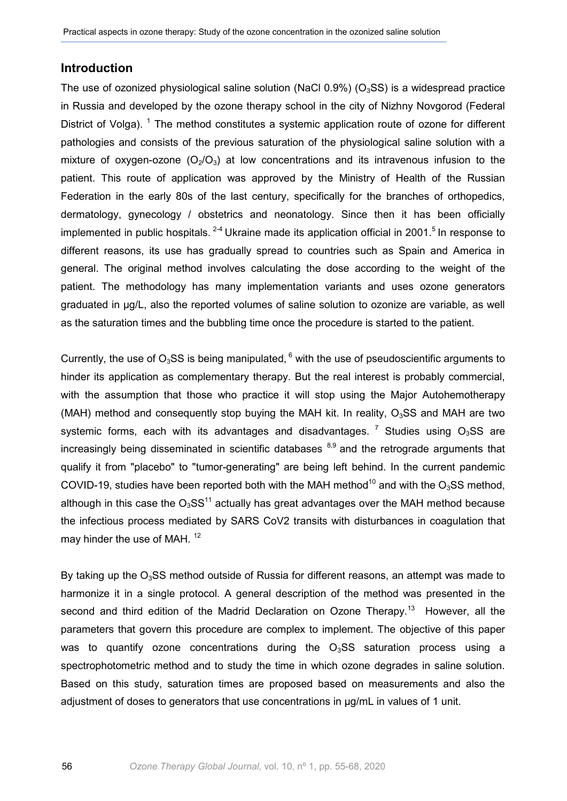#### **Introduction**

The use of ozonized physiological saline solution (NaCl 0.9%) ( $O<sub>3</sub>SS$ ) is a widespread practice in Russia and developed by the ozone therapy school in the city of Nizhny Novgorod (Federal District of Volga). <sup>1</sup> The method constitutes a systemic application route of ozone for different pathologies and consists of the previous saturation of the physiological saline solution with a mixture of oxygen-ozone  $(O_2/O_3)$  at low concentrations and its intravenous infusion to the patient. This route of application was approved by the Ministry of Health of the Russian Federation in the early 80s of the last century, specifically for the branches of orthopedics, dermatology, gynecology / obstetrics and neonatology. Since then it has been officially implemented in public hospitals.  $2-4$  Ukraine made its application official in 2001.<sup>5</sup> In response to different reasons, its use has gradually spread to countries such as Spain and America in general. The original method involves calculating the dose according to the weight of the patient. The methodology has many implementation variants and uses ozone generators graduated in µg/L, also the reported volumes of saline solution to ozonize are variable, as well as the saturation times and the bubbling time once the procedure is started to the patient.

Currently, the use of  $O_3$ SS is being manipulated,  $6$  with the use of pseudoscientific arguments to hinder its application as complementary therapy. But the real interest is probably commercial, with the assumption that those who practice it will stop using the Major Autohemotherapy (MAH) method and consequently stop buying the MAH kit. In reality,  $O<sub>3</sub>SS$  and MAH are two systemic forms, each with its advantages and disadvantages. <sup>7</sup> Studies using  $O_3SS$  are increasingly being disseminated in scientific databases  $8,9$  and the retrograde arguments that qualify it from "placebo" to "tumor-generating" are being left behind. In the current pandemic COVID-19, studies have been reported both with the MAH method<sup>10</sup> and with the O<sub>3</sub>SS method, although in this case the  $O_3SS^{11}$  actually has great advantages over the MAH method because the infectious process mediated by SARS CoV2 transits with disturbances in coagulation that may hinder the use of MAH.<sup>12</sup>

By taking up the  $O<sub>3</sub>SS$  method outside of Russia for different reasons, an attempt was made to harmonize it in a single protocol. A general description of the method was presented in the second and third edition of the Madrid Declaration on Ozone Therapy.<sup>13</sup> However, all the parameters that govern this procedure are complex to implement. The objective of this paper was to quantify ozone concentrations during the  $O<sub>3</sub>SS$  saturation process using a spectrophotometric method and to study the time in which ozone degrades in saline solution. Based on this study, saturation times are proposed based on measurements and also the adjustment of doses to generators that use concentrations in  $\mu$ g/mL in values of 1 unit.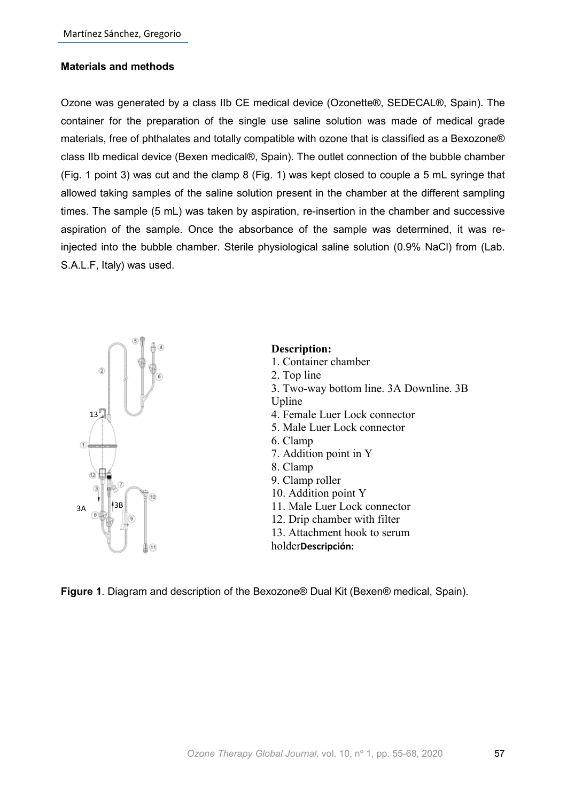#### **Materials and methods**

Ozone was generated by a class IIb CE medical device (Ozonette®, SEDECAL®, Spain). The container for the preparation of the single use saline solution was made of medical grade materials, free of phthalates and totally compatible with ozone that is classified as a Bexozone® class IIb medical device (Bexen medical®, Spain). The outlet connection of the bubble chamber (Fig. 1 point 3) was cut and the clamp 8 (Fig. 1) was kept closed to couple a 5 mL syringe that allowed taking samples of the saline solution present in the chamber at the different sampling times. The sample (5 mL) was taken by aspiration, re-insertion in the chamber and successive aspiration of the sample. Once the absorbance of the sample was determined, it was reinjected into the bubble chamber. Sterile physiological saline solution (0.9% NaCl) from (Lab. S.A.L.F, Italy) was used.



## **Description:**

1. Container chamber 2. Top line 3. Two-way bottom line. 3A Downline. 3B Upline 4. Female Luer Lock connector 5. Male Luer Lock connector 6. Clamp 7. Addition point in Y 8. Clamp 9. Clamp roller 10. Addition point Y 11. Male Luer Lock connector 12. Drip chamber with filter 13. Attachment hook to serum holder**Descripción:**

**Figure 1**. Diagram and description of the Bexozone® Dual Kit (Bexen® medical, Spain).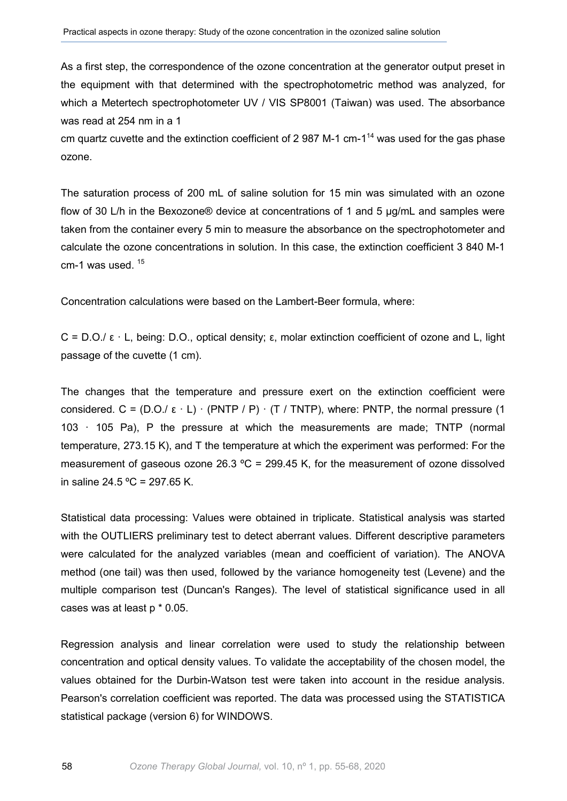As a first step, the correspondence of the ozone concentration at the generator output preset in the equipment with that determined with the spectrophotometric method was analyzed, for which a Metertech spectrophotometer UV / VIS SP8001 (Taiwan) was used. The absorbance was read at 254 nm in a 1

cm quartz cuvette and the extinction coefficient of 2 987 M-1 cm-1<sup>14</sup> was used for the gas phase ozone.

The saturation process of 200 mL of saline solution for 15 min was simulated with an ozone flow of 30 L/h in the Bexozone® device at concentrations of 1 and 5 µg/mL and samples were taken from the container every 5 min to measure the absorbance on the spectrophotometer and calculate the ozone concentrations in solution. In this case, the extinction coefficient 3 840 M-1 cm-1 was used.  $15$ 

Concentration calculations were based on the Lambert-Beer formula, where:

C = D.O./ ε · L, being: D.O., optical density; ε, molar extinction coefficient of ozone and L, light passage of the cuvette (1 cm).

The changes that the temperature and pressure exert on the extinction coefficient were considered. C =  $(D.O./ \epsilon \cdot L) \cdot (PNTP / P) \cdot (T / TNTP)$ , where: PNTP, the normal pressure (1) 103 · 105 Pa), P the pressure at which the measurements are made; TNTP (normal temperature, 273.15 K), and T the temperature at which the experiment was performed: For the measurement of gaseous ozone 26.3  $^{\circ}$ C = 299.45 K, for the measurement of ozone dissolved in saline 24.5  $^{\circ}$ C = 297.65 K.

Statistical data processing: Values were obtained in triplicate. Statistical analysis was started with the OUTLIERS preliminary test to detect aberrant values. Different descriptive parameters were calculated for the analyzed variables (mean and coefficient of variation). The ANOVA method (one tail) was then used, followed by the variance homogeneity test (Levene) and the multiple comparison test (Duncan's Ranges). The level of statistical significance used in all cases was at least p \* 0.05.

Regression analysis and linear correlation were used to study the relationship between concentration and optical density values. To validate the acceptability of the chosen model, the values obtained for the Durbin-Watson test were taken into account in the residue analysis. Pearson's correlation coefficient was reported. The data was processed using the STATISTICA statistical package (version 6) for WINDOWS.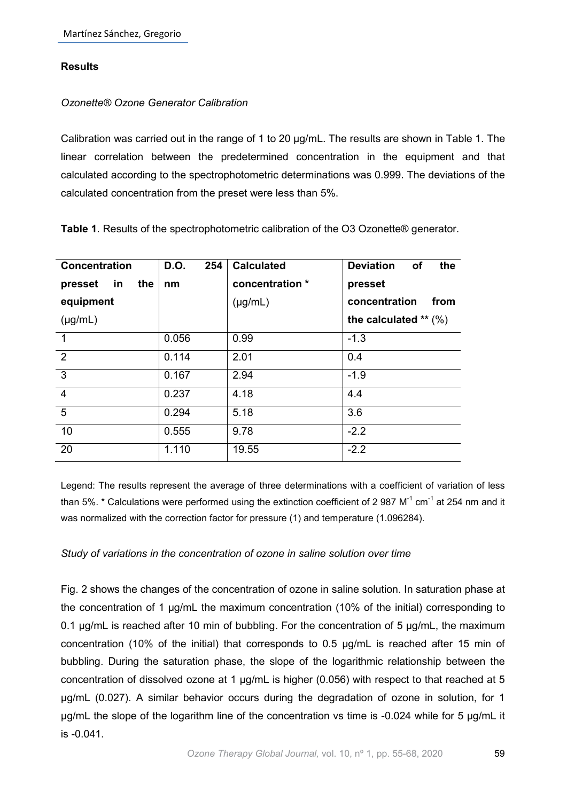#### **Results**

#### *Ozonette® Ozone Generator Calibration*

Calibration was carried out in the range of 1 to 20 µg/mL. The results are shown in Table 1. The linear correlation between the predetermined concentration in the equipment and that calculated according to the spectrophotometric determinations was 0.999. The deviations of the calculated concentration from the preset were less than 5%.

| <b>Concentration</b> | D.O.<br>254 | <b>Calculated</b> | <b>Deviation</b><br>the<br><b>of</b> |  |
|----------------------|-------------|-------------------|--------------------------------------|--|
| in<br>presset<br>the | nm          | concentration *   | presset                              |  |
| equipment            |             | $(\mu g/mL)$      | concentration<br>from                |  |
| $(\mu g/mL)$         |             |                   | the calculated $**$ (%)              |  |
| $\overline{1}$       | 0.056       | 0.99              | $-1.3$                               |  |
| $\overline{2}$       | 0.114       | 2.01              | 0.4                                  |  |
| $\overline{3}$       | 0.167       | 2.94              | $-1.9$                               |  |
| $\overline{4}$       | 0.237       | 4.18              | 4.4                                  |  |
| $\overline{5}$       | 0.294       | 5.18              | 3.6                                  |  |
| 10                   | 0.555       | 9.78              | $-2.2$                               |  |
| 20                   | 1.110       | 19.55             | $-2.2$                               |  |

**Table 1**. Results of the spectrophotometric calibration of the O3 Ozonette® generator.

Legend: The results represent the average of three determinations with a coefficient of variation of less than 5%.  $*$  Calculations were performed using the extinction coefficient of 2 987 M<sup>-1</sup> cm<sup>-1</sup> at 254 nm and it was normalized with the correction factor for pressure (1) and temperature (1.096284).

#### *Study of variations in the concentration of ozone in saline solution over time*

Fig. 2 shows the changes of the concentration of ozone in saline solution. In saturation phase at the concentration of 1 µg/mL the maximum concentration (10% of the initial) corresponding to 0.1 µg/mL is reached after 10 min of bubbling. For the concentration of 5 µg/mL, the maximum concentration (10% of the initial) that corresponds to 0.5 µg/mL is reached after 15 min of bubbling. During the saturation phase, the slope of the logarithmic relationship between the concentration of dissolved ozone at 1 µg/mL is higher (0.056) with respect to that reached at 5 µg/mL (0.027). A similar behavior occurs during the degradation of ozone in solution, for 1 µg/mL the slope of the logarithm line of the concentration vs time is -0.024 while for 5 µg/mL it is -0.041.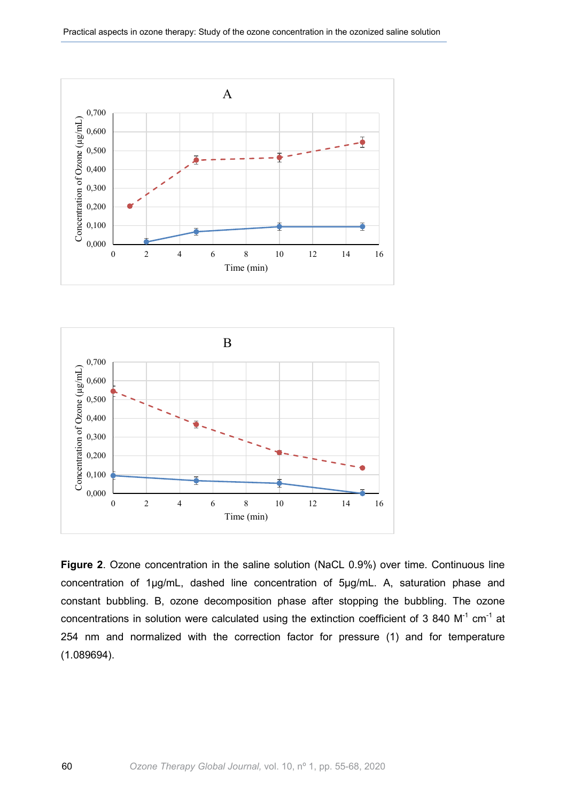Practical aspects in ozone therapy: Study of the ozone concentration in the ozonized saline solution





**Figure 2**. Ozone concentration in the saline solution (NaCL 0.9%) over time. Continuous line concentration of 1µg/mL, dashed line concentration of 5µg/mL. A, saturation phase and constant bubbling. B, ozone decomposition phase after stopping the bubbling. The ozone concentrations in solution were calculated using the extinction coefficient of 3 840  $M^{-1}$  cm<sup>-1</sup> at 254 nm and normalized with the correction factor for pressure (1) and for temperature (1.089694).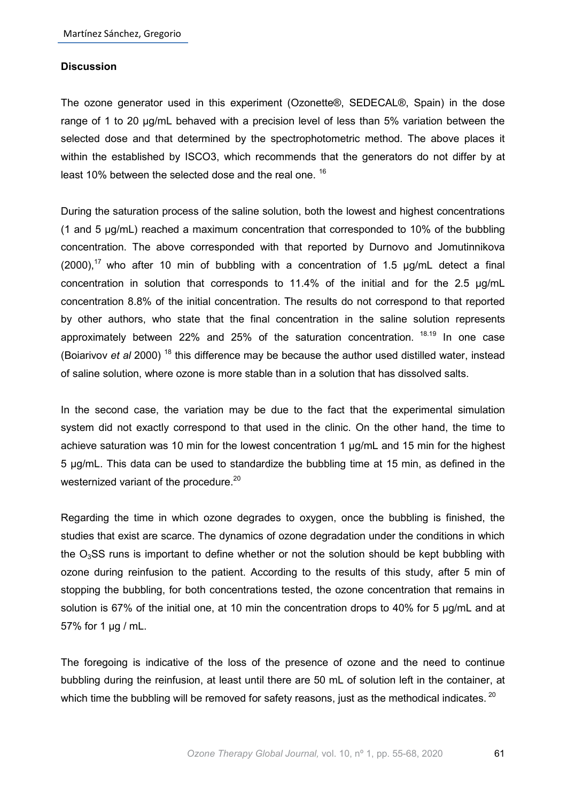#### **Discussion**

The ozone generator used in this experiment (Ozonette®, SEDECAL®, Spain) in the dose range of 1 to 20 µg/mL behaved with a precision level of less than 5% variation between the selected dose and that determined by the spectrophotometric method. The above places it within the established by ISCO3, which recommends that the generators do not differ by at least 10% between the selected dose and the real one. <sup>16</sup>

During the saturation process of the saline solution, both the lowest and highest concentrations (1 and 5 µg/mL) reached a maximum concentration that corresponded to 10% of the bubbling concentration. The above corresponded with that reported by Durnovo and Jomutinnikova  $(2000)$ ,<sup>17</sup> who after 10 min of bubbling with a concentration of 1.5  $\mu$ g/mL detect a final concentration in solution that corresponds to 11.4% of the initial and for the 2.5 µg/mL concentration 8.8% of the initial concentration. The results do not correspond to that reported by other authors, who state that the final concentration in the saline solution represents approximately between 22% and 25% of the saturation concentration. <sup>18.19</sup> In one case (Boiarivov *et al* 2000) <sup>18</sup> this difference may be because the author used distilled water, instead of saline solution, where ozone is more stable than in a solution that has dissolved salts.

In the second case, the variation may be due to the fact that the experimental simulation system did not exactly correspond to that used in the clinic. On the other hand, the time to achieve saturation was 10 min for the lowest concentration 1 µg/mL and 15 min for the highest 5 µg/mL. This data can be used to standardize the bubbling time at 15 min, as defined in the westernized variant of the procedure.<sup>20</sup>

Regarding the time in which ozone degrades to oxygen, once the bubbling is finished, the studies that exist are scarce. The dynamics of ozone degradation under the conditions in which the  $O<sub>3</sub>SS$  runs is important to define whether or not the solution should be kept bubbling with ozone during reinfusion to the patient. According to the results of this study, after 5 min of stopping the bubbling, for both concentrations tested, the ozone concentration that remains in solution is 67% of the initial one, at 10 min the concentration drops to 40% for 5 µg/mL and at 57% for 1 µg / mL.

The foregoing is indicative of the loss of the presence of ozone and the need to continue bubbling during the reinfusion, at least until there are 50 mL of solution left in the container, at which time the bubbling will be removed for safety reasons, just as the methodical indicates.  $^{20}$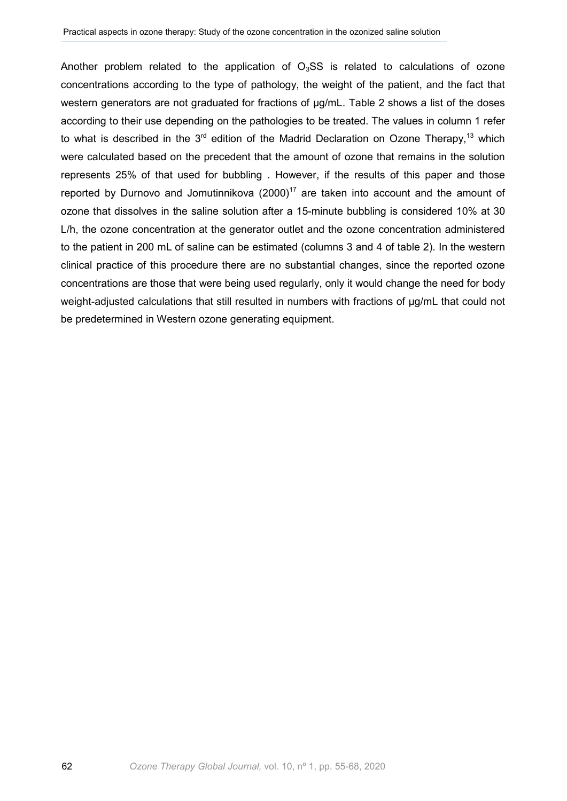Another problem related to the application of  $O<sub>3</sub>SS$  is related to calculations of ozone concentrations according to the type of pathology, the weight of the patient, and the fact that western generators are not graduated for fractions of  $\mu$ g/mL. Table 2 shows a list of the doses according to their use depending on the pathologies to be treated. The values in column 1 refer to what is described in the  $3<sup>rd</sup>$  edition of the Madrid Declaration on Ozone Therapy,<sup>13</sup> which were calculated based on the precedent that the amount of ozone that remains in the solution represents 25% of that used for bubbling . However, if the results of this paper and those reported by Durnovo and Jomutinnikova (2000)<sup>17</sup> are taken into account and the amount of ozone that dissolves in the saline solution after a 15-minute bubbling is considered 10% at 30 L/h, the ozone concentration at the generator outlet and the ozone concentration administered to the patient in 200 mL of saline can be estimated (columns 3 and 4 of table 2). In the western clinical practice of this procedure there are no substantial changes, since the reported ozone concentrations are those that were being used regularly, only it would change the need for body weight-adjusted calculations that still resulted in numbers with fractions of µg/mL that could not be predetermined in Western ozone generating equipment.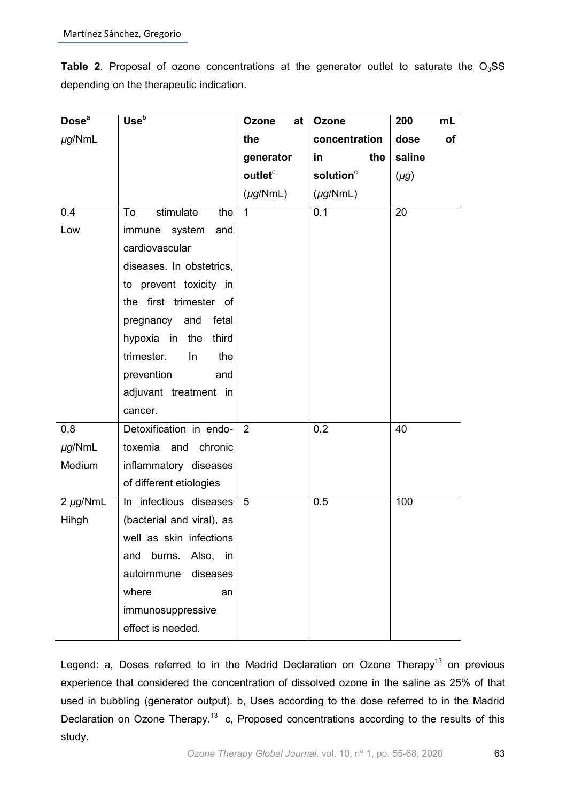Table 2. Proposal of ozone concentrations at the generator outlet to saturate the O<sub>3</sub>SS depending on the therapeutic indication.

| Dose <sup>a</sup> | Use <sup>b</sup>           | Ozone<br>at          | Ozone                 | 200<br>mL  |
|-------------------|----------------------------|----------------------|-----------------------|------------|
| $\mu$ g/NmL       |                            | the                  | concentration         | dose<br>of |
|                   |                            | generator            | the<br>in             | saline     |
|                   |                            | outlet <sup>c</sup>  | solution <sup>c</sup> | $(\mu g)$  |
|                   |                            | $(\mu g/\text{NmL})$ | $(\mu g/\text{NmL})$  |            |
| 0.4               | To<br>stimulate<br>the     | $\mathbf{1}$         | 0.1                   | 20         |
| Low               | immune system<br>and       |                      |                       |            |
|                   | cardiovascular             |                      |                       |            |
|                   | diseases. In obstetrics,   |                      |                       |            |
|                   | to prevent toxicity in     |                      |                       |            |
|                   | the first trimester of     |                      |                       |            |
|                   | pregnancy and fetal        |                      |                       |            |
|                   | hypoxia in the third       |                      |                       |            |
|                   | trimester.<br>$\ln$<br>the |                      |                       |            |
|                   | prevention<br>and          |                      |                       |            |
|                   | adjuvant treatment in      |                      |                       |            |
|                   | cancer.                    |                      |                       |            |
| 0.8               | Detoxification in endo-    | 2                    | 0.2                   | 40         |
| $\mu$ g/NmL       | toxemia and chronic        |                      |                       |            |
| Medium            | inflammatory diseases      |                      |                       |            |
|                   | of different etiologies    |                      |                       |            |
| $2 \mu g/NmL$     | In infectious diseases     | 5                    | 0.5                   | 100        |
| Hihgh             | (bacterial and viral), as  |                      |                       |            |
|                   | well as skin infections    |                      |                       |            |
|                   | Also, in<br>and burns.     |                      |                       |            |
|                   | autoimmune<br>diseases     |                      |                       |            |
|                   | where<br>an                |                      |                       |            |
|                   | immunosuppressive          |                      |                       |            |
|                   | effect is needed.          |                      |                       |            |

Legend: a, Doses referred to in the Madrid Declaration on Ozone Therapy<sup>13</sup> on previous experience that considered the concentration of dissolved ozone in the saline as 25% of that used in bubbling (generator output). b, Uses according to the dose referred to in the Madrid Declaration on Ozone Therapy.<sup>13</sup> c, Proposed concentrations according to the results of this study.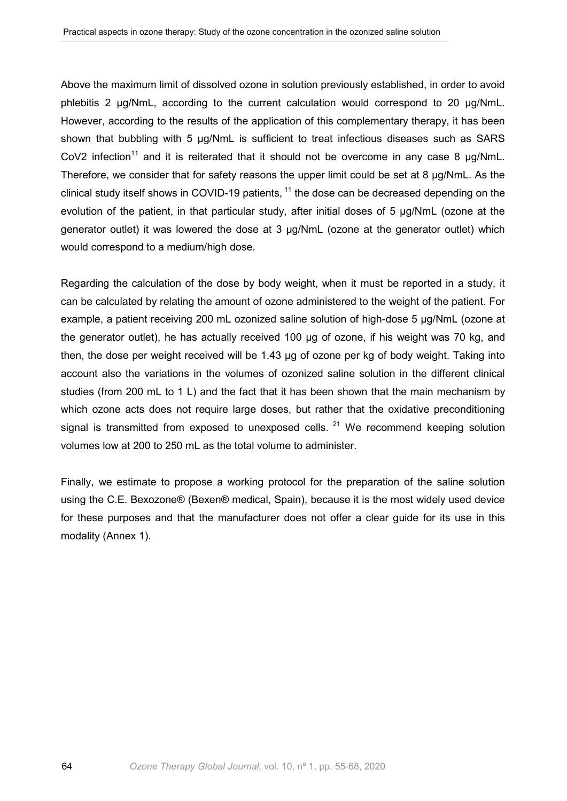Above the maximum limit of dissolved ozone in solution previously established, in order to avoid phlebitis 2 µg/NmL, according to the current calculation would correspond to 20 µg/NmL. However, according to the results of the application of this complementary therapy, it has been shown that bubbling with 5 µg/NmL is sufficient to treat infectious diseases such as SARS CoV2 infection<sup>11</sup> and it is reiterated that it should not be overcome in any case 8  $\mu$ g/NmL. Therefore, we consider that for safety reasons the upper limit could be set at 8 µg/NmL. As the clinical study itself shows in COVID-19 patients,  $11$  the dose can be decreased depending on the evolution of the patient, in that particular study, after initial doses of 5 µg/NmL (ozone at the generator outlet) it was lowered the dose at 3 µg/NmL (ozone at the generator outlet) which would correspond to a medium/high dose.

Regarding the calculation of the dose by body weight, when it must be reported in a study, it can be calculated by relating the amount of ozone administered to the weight of the patient. For example, a patient receiving 200 mL ozonized saline solution of high-dose 5 µg/NmL (ozone at the generator outlet), he has actually received 100 µg of ozone, if his weight was 70 kg, and then, the dose per weight received will be 1.43 µg of ozone per kg of body weight. Taking into account also the variations in the volumes of ozonized saline solution in the different clinical studies (from 200 mL to 1 L) and the fact that it has been shown that the main mechanism by which ozone acts does not require large doses, but rather that the oxidative preconditioning signal is transmitted from exposed to unexposed cells.  $21$  We recommend keeping solution volumes low at 200 to 250 mL as the total volume to administer.

Finally, we estimate to propose a working protocol for the preparation of the saline solution using the C.E. Bexozone® (Bexen® medical, Spain), because it is the most widely used device for these purposes and that the manufacturer does not offer a clear guide for its use in this modality (Annex 1).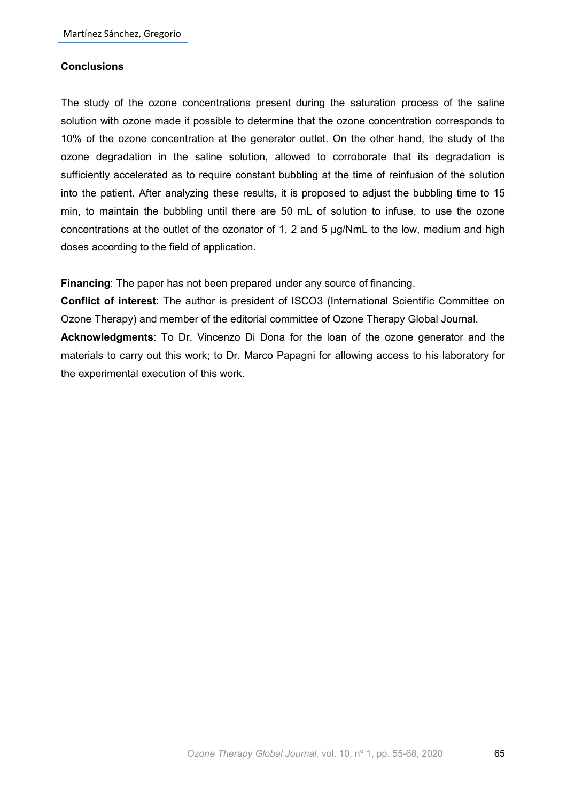#### **Conclusions**

The study of the ozone concentrations present during the saturation process of the saline solution with ozone made it possible to determine that the ozone concentration corresponds to 10% of the ozone concentration at the generator outlet. On the other hand, the study of the ozone degradation in the saline solution, allowed to corroborate that its degradation is sufficiently accelerated as to require constant bubbling at the time of reinfusion of the solution into the patient. After analyzing these results, it is proposed to adjust the bubbling time to 15 min, to maintain the bubbling until there are 50 mL of solution to infuse, to use the ozone concentrations at the outlet of the ozonator of 1, 2 and 5 µg/NmL to the low, medium and high doses according to the field of application.

**Financing**: The paper has not been prepared under any source of financing.

**Conflict of interest**: The author is president of ISCO3 (International Scientific Committee on Ozone Therapy) and member of the editorial committee of Ozone Therapy Global Journal. **Acknowledgments**: To Dr. Vincenzo Di Dona for the loan of the ozone generator and the materials to carry out this work; to Dr. Marco Papagni for allowing access to his laboratory for the experimental execution of this work.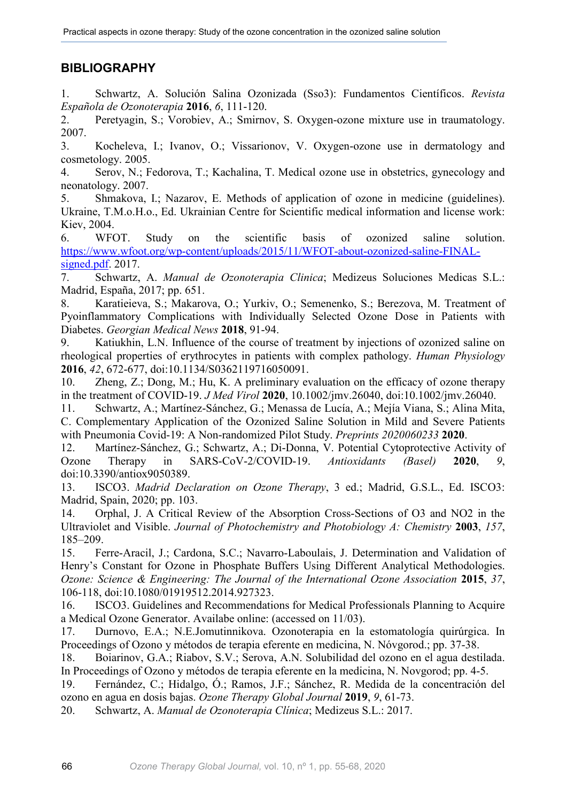## **BIBLIOGRAPHY**

1. Schwartz, A. Solución Salina Ozonizada (Sso3): Fundamentos Científicos. *Revista Española de Ozonoterapia* **2016**, *6*, 111-120.

2. Peretyagin, S.; Vorobiev, A.; Smirnov, S. Oxygen-ozone mixture use in traumatology. 2007.

3. Kocheleva, I.; Ivanov, O.; Vissarionov, V. Oxygen-ozone use in dermatology and cosmetology. 2005.

4. Serov, N.; Fedorova, T.; Kachalina, T. Medical ozone use in obstetrics, gynecology and neonatology. 2007.

5. Shmakova, I.; Nazarov, E. Methods of application of ozone in medicine (guidelines). Ukraine, T.M.o.H.o., Ed. Ukrainian Centre for Scientific medical information and license work: Kiev, 2004.

6. WFOT. Study on the scientific basis of ozonized saline solution. [https://www.wfoot.org/wp-content/uploads/2015/11/WFOT-about-ozonized-saline-FINAL](https://www.wfoot.org/wp-content/uploads/2015/11/WFOT-about-ozonized-saline-FINAL-signed.pdf)[signed.pdf.](https://www.wfoot.org/wp-content/uploads/2015/11/WFOT-about-ozonized-saline-FINAL-signed.pdf) 2017.<br>7. Schwartz.

7. Schwartz, A. *Manual de Ozonoterapia Clinica*; Medizeus Soluciones Medicas S.L.: Madrid, España, 2017; pp. 651.

8. Karatieieva, S.; Makarova, O.; Yurkiv, O.; Semenenko, S.; Berezova, M. Treatment of Pyoinflammatory Complications with Individually Selected Ozone Dose in Patients with Diabetes. *Georgian Medical News* **2018**, 91-94.

9. Katiukhin, L.N. Influence of the course of treatment by injections of ozonized saline on rheological properties of erythrocytes in patients with complex pathology. *Human Physiology*  **2016**, *42*, 672-677, doi:10.1134/S0362119716050091.

10. Zheng, Z.; Dong, M.; Hu, K. A preliminary evaluation on the efficacy of ozone therapy in the treatment of COVID-19. *J Med Virol* **2020**, 10.1002/jmv.26040, doi:10.1002/jmv.26040.

11. Schwartz, A.; Martínez-Sánchez, G.; Menassa de Lucía, A.; Mejía Viana, S.; Alina Mita, C. Complementary Application of the Ozonized Saline Solution in Mild and Severe Patients with Pneumonia Covid-19: A Non-randomized Pilot Study. *Preprints 2020060233* **2020**.

12. Martínez-Sánchez, G.; Schwartz, A.; Di-Donna, V. Potential Cytoprotective Activity of Ozone Therapy in SARS-CoV-2/COVID-19. *Antioxidants (Basel)* **2020**, *9*, doi:10.3390/antiox9050389.

13. ISCO3. *Madrid Declaration on Ozone Therapy*, 3 ed.; Madrid, G.S.L., Ed. ISCO3: Madrid, Spain, 2020; pp. 103.

14. Orphal, J. A Critical Review of the Absorption Cross-Sections of O3 and NO2 in the Ultraviolet and Visible. *Journal of Photochemistry and Photobiology A: Chemistry* **2003**, *157*, 185–209.

15. Ferre-Aracil, J.; Cardona, S.C.; Navarro-Laboulais, J. Determination and Validation of Henry's Constant for Ozone in Phosphate Buffers Using Different Analytical Methodologies. *Ozone: Science & Engineering: The Journal of the International Ozone Association* 2015, 37, 106-118, doi:10.1080/01919512.2014.927323.

16. ISCO3. Guidelines and Recommendations for Medical Professionals Planning to Acquire a Medical Ozone Generator. Availabe online: (accessed on 11/03).

17. Durnovo, E.A.; N.E.Jomutinnikova. Ozonoterapia en la estomatología quirúrgica. In Proceedings of Ozono y métodos de terapia eferente en medicina, N. Nóvgorod.; pp. 37-38.

18. Boiarinov, G.A.; Riabov, S.V.; Serova, A.N. Solubilidad del ozono en el agua destilada. In Proceedings of Ozono y métodos de terapia eferente en la medicina, N. Novgorod; pp. 4-5.

19. Fernández, C.; Hidalgo, Ó.; Ramos, J.F.; Sánchez, R. Medida de la concentración del ozono en agua en dosis bajas. *Ozone Therapy Global Journal* **2019**, *9*, 61-73.

20. Schwartz, A. *Manual de Ozonoterapia Clínica*; Medizeus S.L.: 2017.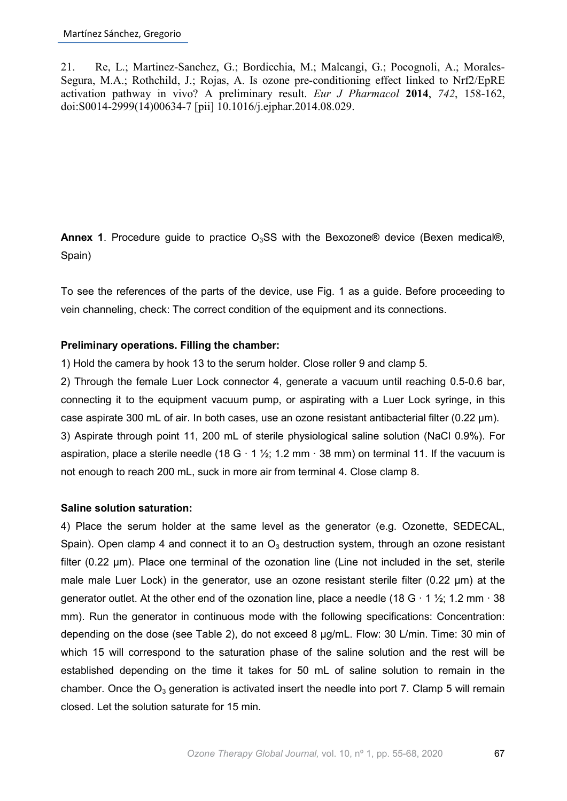21. Re, L.; Martinez-Sanchez, G.; Bordicchia, M.; Malcangi, G.; Pocognoli, A.; Morales-Segura, M.A.; Rothchild, J.; Rojas, A. Is ozone pre-conditioning effect linked to Nrf2/EpRE activation pathway in vivo? A preliminary result. *Eur J Pharmacol* **2014**, *742*, 158-162, doi:S0014-2999(14)00634-7 [pii] 10.1016/j.ejphar.2014.08.029.

**Annex 1.** Procedure guide to practice  $O<sub>3</sub>SS$  with the Bexozone<sup>®</sup> device (Bexen medical®, Spain)

To see the references of the parts of the device, use Fig. 1 as a guide. Before proceeding to vein channeling, check: The correct condition of the equipment and its connections.

#### **Preliminary operations. Filling the chamber:**

1) Hold the camera by hook 13 to the serum holder. Close roller 9 and clamp 5.

2) Through the female Luer Lock connector 4, generate a vacuum until reaching 0.5-0.6 bar, connecting it to the equipment vacuum pump, or aspirating with a Luer Lock syringe, in this case aspirate 300 mL of air. In both cases, use an ozone resistant antibacterial filter (0.22 µm). 3) Aspirate through point 11, 200 mL of sterile physiological saline solution (NaCl 0.9%). For aspiration, place a sterile needle (18 G  $\cdot$  1  $\frac{1}{2}$ ; 1.2 mm  $\cdot$  38 mm) on terminal 11. If the vacuum is not enough to reach 200 mL, suck in more air from terminal 4. Close clamp 8.

#### **Saline solution saturation:**

4) Place the serum holder at the same level as the generator (e.g. Ozonette, SEDECAL, Spain). Open clamp 4 and connect it to an  $O<sub>3</sub>$  destruction system, through an ozone resistant filter (0.22 µm). Place one terminal of the ozonation line (Line not included in the set, sterile male male Luer Lock) in the generator, use an ozone resistant sterile filter (0.22 µm) at the generator outlet. At the other end of the ozonation line, place a needle (18 G  $\cdot$  1  $\frac{1}{2}$ ; 1.2 mm  $\cdot$  38 mm). Run the generator in continuous mode with the following specifications: Concentration: depending on the dose (see Table 2), do not exceed 8  $\mu$ g/mL. Flow: 30 L/min. Time: 30 min of which 15 will correspond to the saturation phase of the saline solution and the rest will be established depending on the time it takes for 50 mL of saline solution to remain in the chamber. Once the  $O_3$  generation is activated insert the needle into port 7. Clamp 5 will remain closed. Let the solution saturate for 15 min.